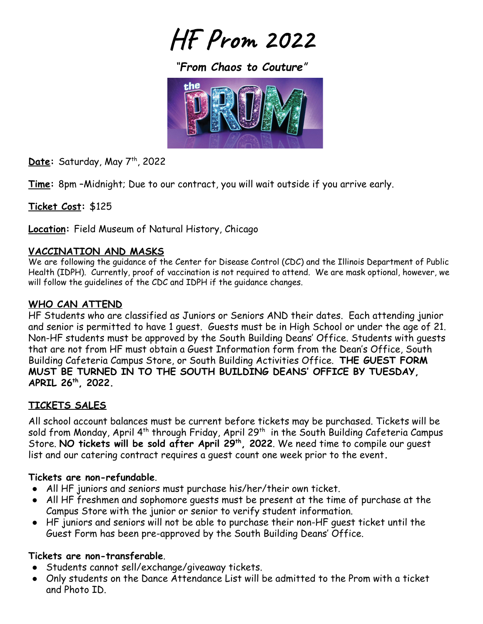**HF Prom 2022**

*"From Chaos to Couture"*



Date: Saturday, May 7<sup>th</sup>, 2022

**Time:** 8pm –Midnight; Due to our contract, you will wait outside if you arrive early.

**Ticket Cost:** \$125

**Location:** Field Museum of Natural History, Chicago

### **VACCINATION AND MASKS**

We are following the guidance of the Center for Disease Control (CDC) and the Illinois Department of Public Health (IDPH). Currently, proof of vaccination is not required to attend. We are mask optional, however, we will follow the guidelines of the CDC and IDPH if the guidance changes.

## **WHO CAN ATTEND**

HF Students who are classified as Juniors or Seniors AND their dates. Each attending junior and senior is permitted to have 1 guest. Guests must be in High School or under the age of 21. Non-HF students must be approved by the South Building Deans' Office. Students with guests that are not from HF must obtain a Guest Information form from the Dean's Office, South Building Cafeteria Campus Store, or South Building Activities Office. **THE GUEST FORM MUST BE TURNED IN TO THE SOUTH BUILDING DEANS' OFFICE BY TUESDAY, APRIL 26th, 2022.**

## **TICKETS SALES**

All school account balances must be current before tickets may be purchased. Tickets will be sold from Monday, April 4th through Friday, April 29th in the South Building Cafeteria Campus Store. **NO tickets will be sold after April 29th, 2022**. We need time to compile our guest list and our catering contract requires a guest count one week prior to the event**.**

## **Tickets are non-refundable**.

- All HF juniors and seniors must purchase his/her/their own ticket.
- All HF freshmen and sophomore guests must be present at the time of purchase at the Campus Store with the junior or senior to verify student information.
- HF juniors and seniors will not be able to purchase their non-HF guest ticket until the Guest Form has been pre-approved by the South Building Deans' Office.

## **Tickets are non-transferable**.

- Students cannot sell/exchange/giveaway tickets.
- Only students on the Dance Attendance List will be admitted to the Prom with a ticket and Photo ID.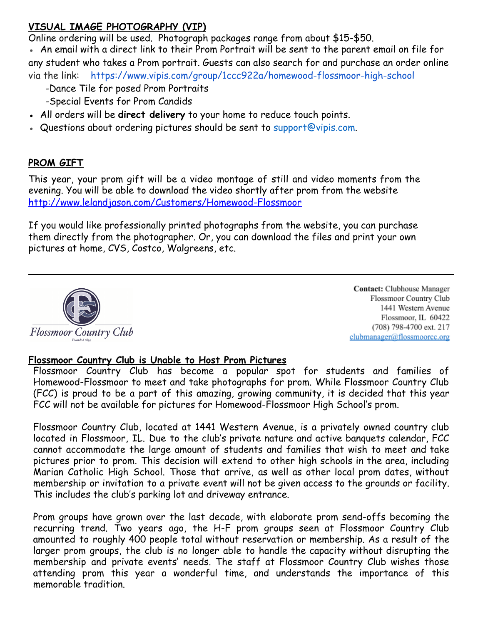# **VISUAL IMAGE PHOTOGRAPHY (VIP)**

Online ordering will be used. Photograph packages range from about \$15-\$50.

• An email with a direct link to their Prom Portrait will be sent to the parent email on file for any student who takes a Prom portrait. Guests can also search for and purchase an order online via the link: <https://www.vipis.com/group/1ccc922a/homewood-flossmoor-high-school>

- -Dance Tile for posed Prom Portraits
- -Special Events for Prom Candids
- All orders will be **direct delivery** to your home to reduce touch points.
- Questions about ordering pictures should be sent to support@vipis.com.

# **PROM GIFT**

This year, your prom gift will be a video montage of still and video moments from the evening. You will be able to download the video shortly after prom from the website <http://www.lelandjason.com/Customers/Homewood-Flossmoor>

If you would like professionally printed photographs from the website, you can purchase them directly from the photographer. Or, you can download the files and print your own pictures at home, CVS, Costco, Walgreens, etc.



Contact: Clubhouse Manager Flossmoor Country Club 1441 Western Avenue Flossmoor, IL 60422 (708) 798-4700 ext. 217 clubmanager@flossmoorcc.org

#### **Flossmoor Country Club is Unable to Host Prom Pictures**

Flossmoor Country Club has become a popular spot for students and families of Homewood-Flossmoor to meet and take photographs for prom. While Flossmoor Country Club (FCC) is proud to be a part of this amazing, growing community, it is decided that this year FCC will not be available for pictures for Homewood-Flossmoor High School's prom.

Flossmoor Country Club, located at 1441 Western Avenue, is a privately owned country club located in Flossmoor, IL. Due to the club's private nature and active banquets calendar, FCC cannot accommodate the large amount of students and families that wish to meet and take pictures prior to prom. This decision will extend to other high schools in the area, including Marian Catholic High School. Those that arrive, as well as other local prom dates, without membership or invitation to a private event will not be given access to the grounds or facility. This includes the club's parking lot and driveway entrance.

Prom groups have grown over the last decade, with elaborate prom send-offs becoming the recurring trend. Two years ago, the H-F prom groups seen at Flossmoor Country Club amounted to roughly 400 people total without reservation or membership. As a result of the larger prom groups, the club is no longer able to handle the capacity without disrupting the membership and private events' needs. The staff at Flossmoor Country Club wishes those attending prom this year a wonderful time, and understands the importance of this memorable tradition.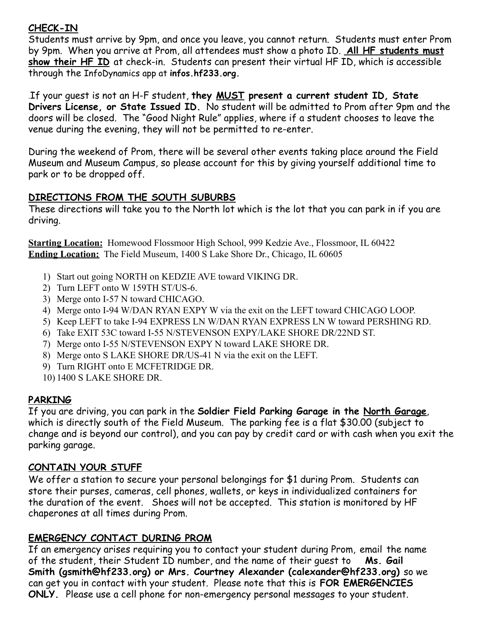# **CHECK-IN**

Students must arrive by 9pm, and once you leave, you cannot return. Students must enter Prom by 9pm. When you arrive at Prom, all attendees must show a photo ID. **All HF students must show their HF ID** at check-in. Students can present their virtual HF ID, which is accessible through the InfoDynamics app at **infos.hf233.org.**

.If your guest is not an H-F student, **they MUST present a current student ID, State Drivers License, or State Issued ID.** No student will be admitted to Prom after 9pm and the doors will be closed. The "Good Night Rule" applies, where if a student chooses to leave the venue during the evening, they will not be permitted to re-enter.

During the weekend of Prom, there will be several other events taking place around the Field Museum and Museum Campus, so please account for this by giving yourself additional time to park or to be dropped off.

## **DIRECTIONS FROM THE SOUTH SUBURBS**

These directions will take you to the North lot which is the lot that you can park in if you are driving.

**Starting Location:** Homewood Flossmoor High School, 999 Kedzie Ave., Flossmoor, IL 60422 **Ending Location:** The Field Museum, 1400 S Lake Shore Dr., Chicago, IL 60605

- 1) Start out going NORTH on KEDZIE AVE toward VIKING DR.
- 2) Turn LEFT onto W 159TH ST/US-6.
- 3) Merge onto I-57 N toward CHICAGO.
- 4) Merge onto I-94 W/DAN RYAN EXPY W via the exit on the LEFT toward CHICAGO LOOP.
- 5) Keep LEFT to take I-94 EXPRESS LN W/DAN RYAN EXPRESS LN W toward PERSHING RD.
- 6) Take EXIT 53C toward I-55 N/STEVENSON EXPY/LAKE SHORE DR/22ND ST.
- 7) Merge onto I-55 N/STEVENSON EXPY N toward LAKE SHORE DR.
- 8) Merge onto S LAKE SHORE DR/US-41 N via the exit on the LEFT.
- 9) Turn RIGHT onto E MCFETRIDGE DR.
- 10) 1400 S LAKE SHORE DR.

# **PARKING**

If you are driving, you can park in the **Soldier Field Parking Garage in the North Garage**, which is directly south of the Field Museum. The parking fee is a flat \$30.00 (subject to change and is beyond our control), and you can pay by credit card or with cash when you exit the parking garage.

## **CONTAIN YOUR STUFF**

We offer a station to secure your personal belongings for \$1 during Prom. Students can store their purses, cameras, cell phones, wallets, or keys in individualized containers for the duration of the event. Shoes will not be accepted. This station is monitored by HF chaperones at all times during Prom.

## **EMERGENCY CONTACT DURING PROM**

If an emergency arises requiring you to contact your student during Prom, email the name of the student, their Student ID number, and the name of their guest to **Ms. Gail Smith (gsmith@hf233.org) or Mrs. Courtney Alexander (calexander@hf233.org)** so we can get you in contact with your student. Please note that this is **FOR EMERGENCIES ONLY.** Please use a cell phone for non-emergency personal messages to your student.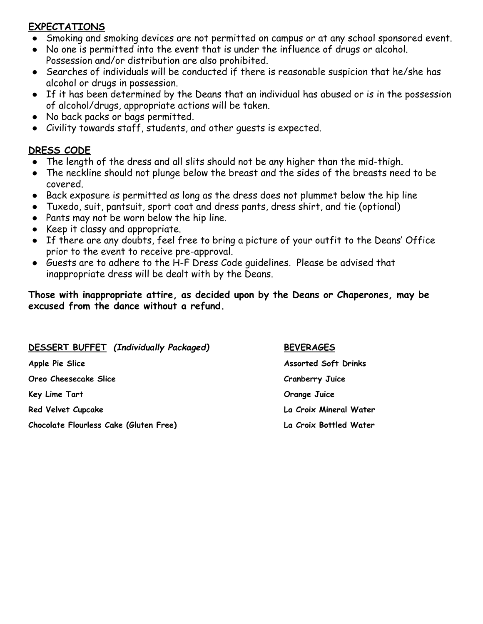### **EXPECTATIONS**

- Smoking and smoking devices are not permitted on campus or at any school sponsored event.
- No one is permitted into the event that is under the influence of drugs or alcohol. Possession and/or distribution are also prohibited.
- Searches of individuals will be conducted if there is reasonable suspicion that he/she has alcohol or drugs in possession.
- If it has been determined by the Deans that an individual has abused or is in the possession of alcohol/drugs, appropriate actions will be taken.
- No back packs or bags permitted.
- Civility towards staff, students, and other guests is expected.

## **DRESS CODE**

- The length of the dress and all slits should not be any higher than the mid-thigh.
- The neckline should not plunge below the breast and the sides of the breasts need to be covered.
- Back exposure is permitted as long as the dress does not plummet below the hip line
- Tuxedo, suit, pantsuit, sport coat and dress pants, dress shirt, and tie (optional)
- Pants may not be worn below the hip line.
- Keep it classy and appropriate.
- If there are any doubts, feel free to bring a picture of your outfit to the Deans' Office prior to the event to receive pre-approval.
- Guests are to adhere to the H-F Dress Code guidelines. Please be advised that inappropriate dress will be dealt with by the Deans.

#### **Those with inappropriate attire, as decided upon by the Deans or Chaperones, may be excused from the dance without a refund.**

| <b>DESSERT BUFFET</b> (Individually Packaged) | <b>BEVERAGES</b>            |
|-----------------------------------------------|-----------------------------|
| Apple Pie Slice                               | <b>Assorted Soft Drinks</b> |
| Oreo Cheesecake Slice                         | <b>Cranberry Juice</b>      |
| Key Lime Tart                                 | Orange Juice                |
| <b>Red Velvet Cupcake</b>                     | La Croix Mineral Water      |
| Chocolate Flourless Cake (Gluten Free)        | La Croix Bottled Water      |